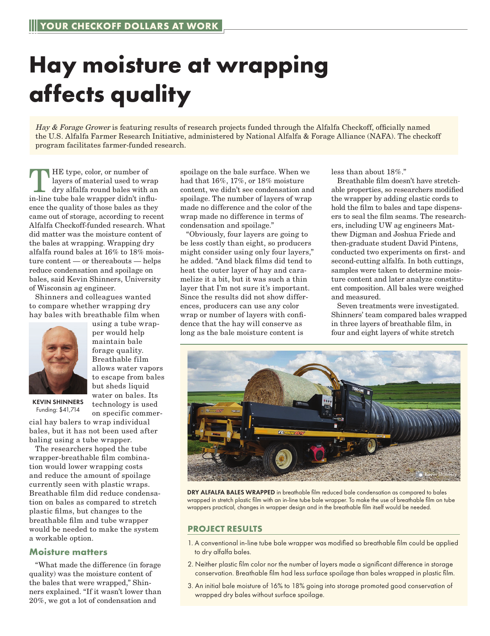## **Hay moisture at wrapping affects quality**

Hay & Forage Grower is featuring results of research projects funded through the Alfalfa Checkoff, officially named the U.S. Alfalfa Farmer Research Initiative, administered by National Alfalfa & Forage Alliance (NAFA). The checkoff program facilitates farmer-funded research.

THE type, color, or number of<br>
layers of material used to wrap<br>
dry alfalfa round bales with an<br>
in line tube belo wrapper didn't influ layers of material used to wrap in-line tube bale wrapper didn't influence the quality of those bales as they came out of storage, according to recent Alfalfa Checkoff-funded research. What did matter was the moisture content of the bales at wrapping. Wrapping dry alfalfa round bales at 16% to 18% moisture content — or thereabouts — helps reduce condensation and spoilage on bales, said Kevin Shinners, University of Wisconsin ag engineer.

Shinners and colleagues wanted to compare whether wrapping dry hay bales with breathable film when



KEVIN SHINNERS

using a tube wrapper would help maintain bale forage quality. Breathable film allows water vapors to escape from bales but sheds liquid water on bales. Its technology is used on specific commer-

cial hay balers to wrap individual Funding: \$41,714

bales, but it has not been used after baling using a tube wrapper.

The researchers hoped the tube wrapper-breathable film combination would lower wrapping costs and reduce the amount of spoilage currently seen with plastic wraps. Breathable film did reduce condensation on bales as compared to stretch plastic films, but changes to the breathable film and tube wrapper would be needed to make the system a workable option.

## **Moisture matters**

"What made the difference (in forage quality) was the moisture content of the bales that were wrapped," Shinners explained. "If it wasn't lower than 20%, we got a lot of condensation and

spoilage on the bale surface. When we had that 16%, 17%, or 18% moisture content, we didn't see condensation and spoilage. The number of layers of wrap made no difference and the color of the wrap made no difference in terms of condensation and spoilage."

"Obviously, four layers are going to be less costly than eight, so producers might consider using only four layers," he added. "And black films did tend to heat the outer layer of hay and caramelize it a bit, but it was such a thin layer that I'm not sure it's important. Since the results did not show differences, producers can use any color wrap or number of layers with confidence that the hay will conserve as long as the bale moisture content is

less than about 18%."

Breathable film doesn't have stretchable properties, so researchers modified the wrapper by adding elastic cords to hold the film to bales and tape dispensers to seal the film seams. The researchers, including UW ag engineers Matthew Digman and Joshua Friede and then-graduate student David Pintens, conducted two experiments on first- and second-cutting alfalfa. In both cuttings, samples were taken to determine moisture content and later analyze constituent composition. All bales were weighed and measured.

Seven treatments were investigated. Shinners' team compared bales wrapped in three layers of breathable film, in four and eight layers of white stretch



DRY ALFALFA BALES WRAPPED in breathable film reduced bale condensation as compared to bales wrapped in stretch plastic film with an in-line tube bale wrapper. To make the use of breathable film on tube wrappers practical, changes in wrapper design and in the breathable film itself would be needed.

## **PROJECT RESULTS**

- 1. A conventional in-line tube bale wrapper was modified so breathable film could be applied to dry alfalfa bales.
- 2. Neither plastic film color nor the number of layers made a significant difference in storage conservation. Breathable film had less surface spoilage than bales wrapped in plastic film.
- 3. An initial bale moisture of 16% to 18% going into storage promoted good conservation of wrapped dry bales without surface spoilage.